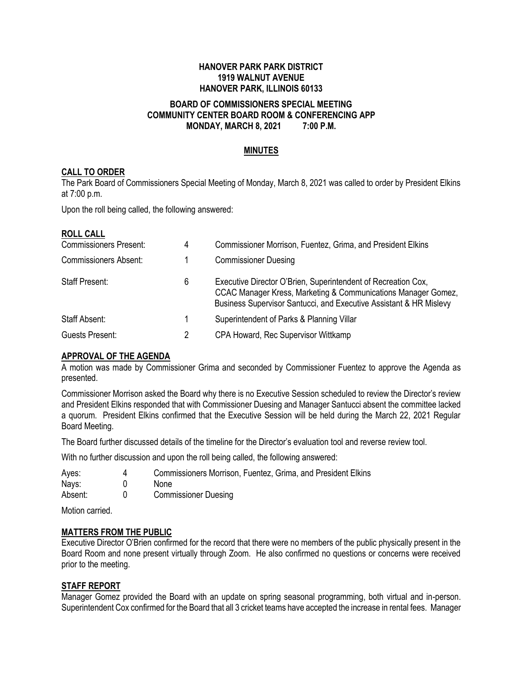#### **HANOVER PARK PARK DISTRICT 1919 WALNUT AVENUE HANOVER PARK, ILLINOIS 60133**

### **BOARD OF COMMISSIONERS SPECIAL MEETING COMMUNITY CENTER BOARD ROOM & CONFERENCING APP MONDAY, MARCH 8, 2021 7:00 P.M.**

### **MINUTES**

### **CALL TO ORDER**

The Park Board of Commissioners Special Meeting of Monday, March 8, 2021 was called to order by President Elkins at 7:00 p.m.

Upon the roll being called, the following answered:

| <b>ROLL CALL</b><br><b>Commissioners Present:</b> | 4 | Commissioner Morrison, Fuentez, Grima, and President Elkins                                                                                                                                          |
|---------------------------------------------------|---|------------------------------------------------------------------------------------------------------------------------------------------------------------------------------------------------------|
| <b>Commissioners Absent:</b>                      |   | <b>Commissioner Duesing</b>                                                                                                                                                                          |
| <b>Staff Present:</b>                             | 6 | Executive Director O'Brien, Superintendent of Recreation Cox,<br>CCAC Manager Kress, Marketing & Communications Manager Gomez,<br>Business Supervisor Santucci, and Executive Assistant & HR Mislevy |
| Staff Absent:                                     |   | Superintendent of Parks & Planning Villar                                                                                                                                                            |
| Guests Present:                                   | 2 | CPA Howard, Rec Supervisor Wittkamp                                                                                                                                                                  |

### **APPROVAL OF THE AGENDA**

A motion was made by Commissioner Grima and seconded by Commissioner Fuentez to approve the Agenda as presented.

Commissioner Morrison asked the Board why there is no Executive Session scheduled to review the Director's review and President Elkins responded that with Commissioner Duesing and Manager Santucci absent the committee lacked a quorum. President Elkins confirmed that the Executive Session will be held during the March 22, 2021 Regular Board Meeting.

The Board further discussed details of the timeline for the Director's evaluation tool and reverse review tool.

With no further discussion and upon the roll being called, the following answered:

| Ayes:   | Commissioners Morrison, Fuentez, Grima, and President Elkins |
|---------|--------------------------------------------------------------|
| Nays:   | None                                                         |
| Absent: | <b>Commissioner Duesing</b>                                  |

Motion carried.

#### **MATTERS FROM THE PUBLIC**

Executive Director O'Brien confirmed for the record that there were no members of the public physically present in the Board Room and none present virtually through Zoom. He also confirmed no questions or concerns were received prior to the meeting.

#### **STAFF REPORT**

Manager Gomez provided the Board with an update on spring seasonal programming, both virtual and in-person. Superintendent Cox confirmed for the Board that all 3 cricket teams have accepted the increase in rental fees. Manager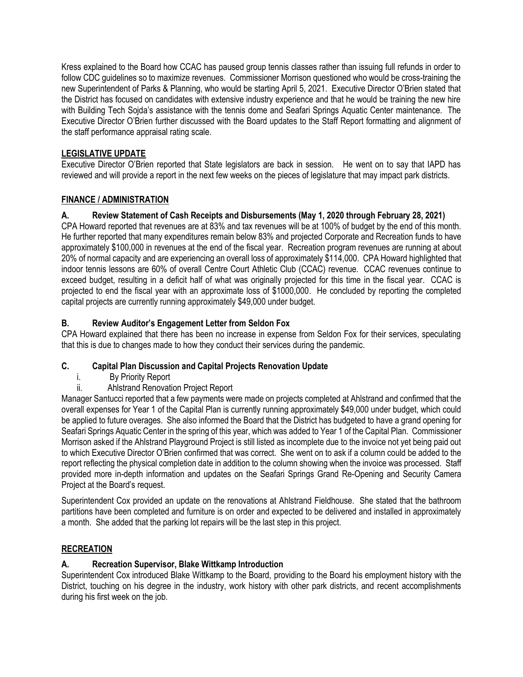Kress explained to the Board how CCAC has paused group tennis classes rather than issuing full refunds in order to follow CDC guidelines so to maximize revenues. Commissioner Morrison questioned who would be cross-training the new Superintendent of Parks & Planning, who would be starting April 5, 2021. Executive Director O'Brien stated that the District has focused on candidates with extensive industry experience and that he would be training the new hire with Building Tech Sojda's assistance with the tennis dome and Seafari Springs Aquatic Center maintenance. The Executive Director O'Brien further discussed with the Board updates to the Staff Report formatting and alignment of the staff performance appraisal rating scale.

## **LEGISLATIVE UPDATE**

Executive Director O'Brien reported that State legislators are back in session. He went on to say that IAPD has reviewed and will provide a report in the next few weeks on the pieces of legislature that may impact park districts.

## **FINANCE / ADMINISTRATION**

# **A. Review Statement of Cash Receipts and Disbursements (May 1, 2020 through February 28, 2021)**

CPA Howard reported that revenues are at 83% and tax revenues will be at 100% of budget by the end of this month. He further reported that many expenditures remain below 83% and projected Corporate and Recreation funds to have approximately \$100,000 in revenues at the end of the fiscal year. Recreation program revenues are running at about 20% of normal capacity and are experiencing an overall loss of approximately \$114,000. CPA Howard highlighted that indoor tennis lessons are 60% of overall Centre Court Athletic Club (CCAC) revenue. CCAC revenues continue to exceed budget, resulting in a deficit half of what was originally projected for this time in the fiscal year. CCAC is projected to end the fiscal year with an approximate loss of \$1000,000. He concluded by reporting the completed capital projects are currently running approximately \$49,000 under budget.

# **B. Review Auditor's Engagement Letter from Seldon Fox**

CPA Howard explained that there has been no increase in expense from Seldon Fox for their services, speculating that this is due to changes made to how they conduct their services during the pandemic.

### **C. Capital Plan Discussion and Capital Projects Renovation Update**

- i. By Priority Report
- ii. Ahlstrand Renovation Project Report

Manager Santucci reported that a few payments were made on projects completed at Ahlstrand and confirmed that the overall expenses for Year 1 of the Capital Plan is currently running approximately \$49,000 under budget, which could be applied to future overages. She also informed the Board that the District has budgeted to have a grand opening for Seafari Springs Aquatic Center in the spring of this year, which was added to Year 1 of the Capital Plan. Commissioner Morrison asked if the Ahlstrand Playground Project is still listed as incomplete due to the invoice not yet being paid out to which Executive Director O'Brien confirmed that was correct. She went on to ask if a column could be added to the report reflecting the physical completion date in addition to the column showing when the invoice was processed. Staff provided more in-depth information and updates on the Seafari Springs Grand Re-Opening and Security Camera Project at the Board's request.

Superintendent Cox provided an update on the renovations at Ahlstrand Fieldhouse. She stated that the bathroom partitions have been completed and furniture is on order and expected to be delivered and installed in approximately a month. She added that the parking lot repairs will be the last step in this project.

## **RECREATION**

### **A. Recreation Supervisor, Blake Wittkamp Introduction**

Superintendent Cox introduced Blake Wittkamp to the Board, providing to the Board his employment history with the District, touching on his degree in the industry, work history with other park districts, and recent accomplishments during his first week on the job.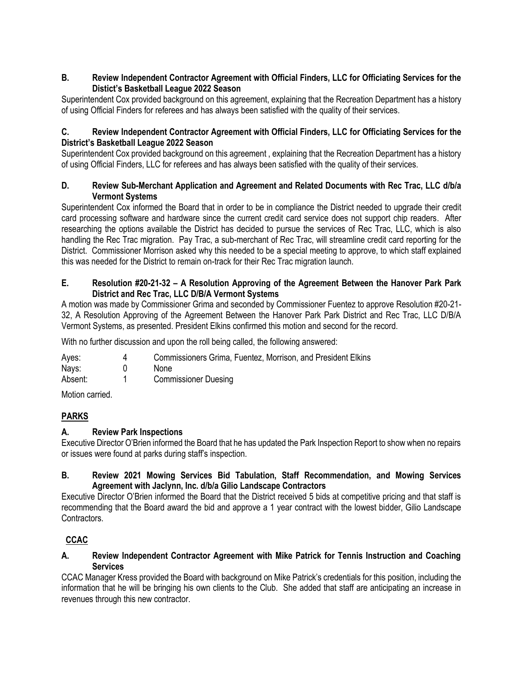## **B. Review Independent Contractor Agreement with Official Finders, LLC for Officiating Services for the Distict's Basketball League 2022 Season**

Superintendent Cox provided background on this agreement, explaining that the Recreation Department has a history of using Official Finders for referees and has always been satisfied with the quality of their services.

### **C. Review Independent Contractor Agreement with Official Finders, LLC for Officiating Services for the District's Basketball League 2022 Season**

Superintendent Cox provided background on this agreement , explaining that the Recreation Department has a history of using Official Finders, LLC for referees and has always been satisfied with the quality of their services.

### **D. Review Sub-Merchant Application and Agreement and Related Documents with Rec Trac, LLC d/b/a Vermont Systems**

Superintendent Cox informed the Board that in order to be in compliance the District needed to upgrade their credit card processing software and hardware since the current credit card service does not support chip readers. After researching the options available the District has decided to pursue the services of Rec Trac, LLC, which is also handling the Rec Trac migration. Pay Trac, a sub-merchant of Rec Trac, will streamline credit card reporting for the District. Commissioner Morrison asked why this needed to be a special meeting to approve, to which staff explained this was needed for the District to remain on-track for their Rec Trac migration launch.

### **E. Resolution #20-21-32 – A Resolution Approving of the Agreement Between the Hanover Park Park District and Rec Trac, LLC D/B/A Vermont Systems**

A motion was made by Commissioner Grima and seconded by Commissioner Fuentez to approve Resolution #20-21- 32, A Resolution Approving of the Agreement Between the Hanover Park Park District and Rec Trac, LLC D/B/A Vermont Systems, as presented. President Elkins confirmed this motion and second for the record.

With no further discussion and upon the roll being called, the following answered:

| Ayes:   | Commissioners Grima, Fuentez, Morrison, and President Elkins |
|---------|--------------------------------------------------------------|
| Nays:   | <b>None</b>                                                  |
| Absent: | <b>Commissioner Duesing</b>                                  |

Motion carried.

# **PARKS**

### **A. Review Park Inspections**

Executive Director O'Brien informed the Board that he has updated the Park Inspection Report to show when no repairs or issues were found at parks during staff's inspection.

## **B. Review 2021 Mowing Services Bid Tabulation, Staff Recommendation, and Mowing Services Agreement with Jaclynn, Inc. d/b/a Gilio Landscape Contractors**

Executive Director O'Brien informed the Board that the District received 5 bids at competitive pricing and that staff is recommending that the Board award the bid and approve a 1 year contract with the lowest bidder, Gilio Landscape Contractors.

# **CCAC**

### **A. Review Independent Contractor Agreement with Mike Patrick for Tennis Instruction and Coaching Services**

CCAC Manager Kress provided the Board with background on Mike Patrick's credentials for this position, including the information that he will be bringing his own clients to the Club. She added that staff are anticipating an increase in revenues through this new contractor.